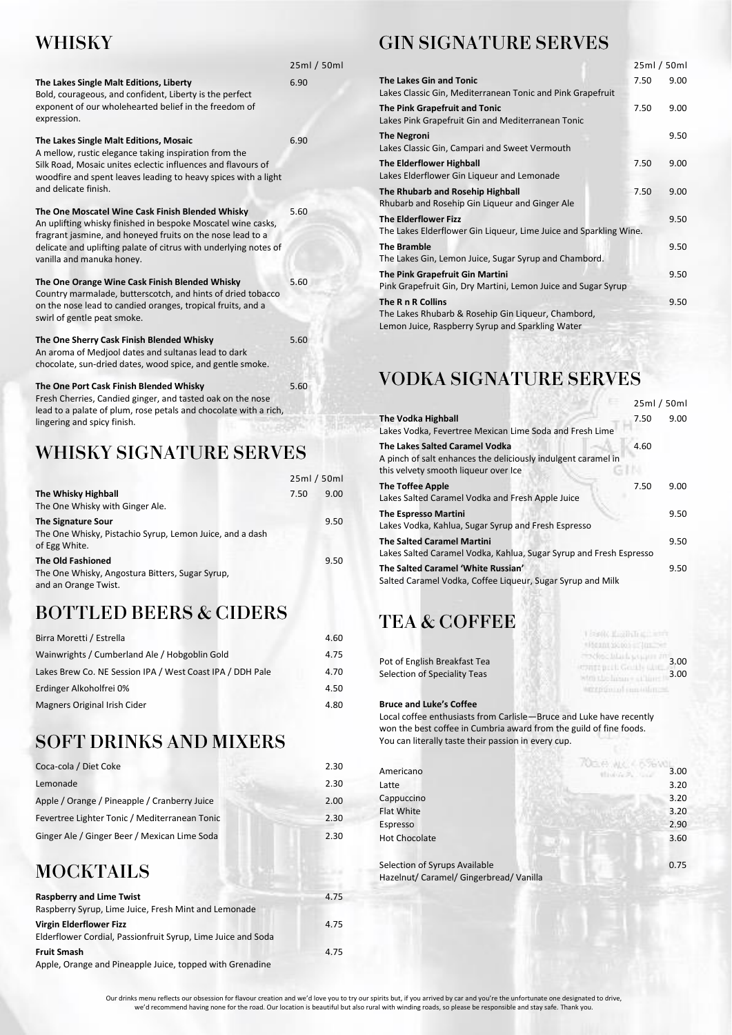## **WHISKY**

|                                                                                                                                                                                                                                                                                 | 25ml / 50ml |
|---------------------------------------------------------------------------------------------------------------------------------------------------------------------------------------------------------------------------------------------------------------------------------|-------------|
| The Lakes Single Malt Editions, Liberty<br>Bold, courageous, and confident, Liberty is the perfect<br>exponent of our wholehearted belief in the freedom of<br>expression.                                                                                                      | 6.90        |
| The Lakes Single Malt Editions, Mosaic<br>A mellow, rustic elegance taking inspiration from the<br>Silk Road, Mosaic unites eclectic influences and flavours of<br>woodfire and spent leaves leading to heavy spices with a light<br>and delicate finish.                       | 6.90        |
| The One Moscatel Wine Cask Finish Blended Whisky<br>An uplifting whisky finished in bespoke Moscatel wine casks,<br>fragrant jasmine, and honeyed fruits on the nose lead to a<br>delicate and uplifting palate of citrus with underlying notes of<br>vanilla and manuka honey. | 5.60        |
| The One Orange Wine Cask Finish Blended Whisky<br>Country marmalade, butterscotch, and hints of dried tobacco<br>on the nose lead to candied oranges, tropical fruits, and a<br>swirl of gentle peat smoke.                                                                     | 5.60        |
| The One Sherry Cask Finish Blended Whisky<br>An aroma of Medjool dates and sultanas lead to dark<br>chocolate, sun-dried dates, wood spice, and gentle smoke.                                                                                                                   | 5.60        |
| The One Port Cask Finish Blended Whisky<br>$\sim$ $\sim$ $\sim$ $\sim$ $\sim$ $\sim$ $\sim$                                                                                                                                                                                     | 5.60        |

### Fresh Cherries, Candied ginger, and tasted oak on the nose lead to a palate of plum, rose petals and chocolate with a rich, lingering and spicy finish.

# WHISKY SIGNATURE SERVES

|                                                                                                        | 25ml / 50ml |      |
|--------------------------------------------------------------------------------------------------------|-------------|------|
| The Whisky Highball<br>The One Whisky with Ginger Ale.                                                 | 7.50        | 9.00 |
| <b>The Signature Sour</b><br>The One Whisky, Pistachio Syrup, Lemon Juice, and a dash<br>of Egg White. |             | 9.50 |
| <b>The Old Fashioned</b><br>The One Whisky, Angostura Bitters, Sugar Syrup,<br>and an Orange Twist.    |             | 9.50 |

# **BOTTLED BEERS & CIDERS**

| Birra Moretti / Estrella                                  | 4.60 |
|-----------------------------------------------------------|------|
| Wainwrights / Cumberland Ale / Hobgoblin Gold             | 4.75 |
| Lakes Brew Co. NE Session IPA / West Coast IPA / DDH Pale | 4.70 |
| Erdinger Alkoholfrei 0%                                   | 4.50 |
| Magners Original Irish Cider                              | 4.80 |
|                                                           |      |

## **SOFT DRINKS AND MIXERS**

| Coca-cola / Diet Coke                         | 2.30 |
|-----------------------------------------------|------|
| Lemonade                                      | 2.30 |
| Apple / Orange / Pineapple / Cranberry Juice  | 2.00 |
| Fevertree Lighter Tonic / Mediterranean Tonic | 2.30 |
| Ginger Ale / Ginger Beer / Mexican Lime Soda  | 2.30 |
|                                               |      |

## **MOCKTAILS**

| <b>Raspberry and Lime Twist</b>                              | 4.75 |
|--------------------------------------------------------------|------|
| Raspberry Syrup, Lime Juice, Fresh Mint and Lemonade         |      |
| <b>Virgin Elderflower Fizz</b>                               | 4.75 |
| Elderflower Cordial, Passionfruit Syrup, Lime Juice and Soda |      |
| <b>Fruit Smash</b>                                           | 4.75 |
| Apple, Orange and Pineapple Juice, topped with Grenadine     |      |

# **GIN SIGNATURE SERVES**

|                                                                                                                             | 25ml / 50ml |      |
|-----------------------------------------------------------------------------------------------------------------------------|-------------|------|
| The Lakes Gin and Tonic<br>Lakes Classic Gin, Mediterranean Tonic and Pink Grapefruit                                       | 7.50        | 9.00 |
| The Pink Grapefruit and Tonic<br>Lakes Pink Grapefruit Gin and Mediterranean Tonic                                          | 7.50        | 9.00 |
| <b>The Negroni</b><br>Lakes Classic Gin, Campari and Sweet Vermouth                                                         |             | 9.50 |
| <b>The Elderflower Highball</b><br>Lakes Elderflower Gin Liqueur and Lemonade                                               | 7.50        | 9.00 |
| The Rhubarb and Rosehip Highball<br>Rhubarb and Rosehip Gin Liqueur and Ginger Ale                                          | 7.50        | 9.00 |
| <b>The Elderflower Fizz</b><br>The Lakes Elderflower Gin Liqueur, Lime Juice and Sparkling Wine.                            |             | 9.50 |
| <b>The Bramble</b><br>The Lakes Gin, Lemon Juice, Sugar Syrup and Chambord.                                                 |             | 9.50 |
| The Pink Grapefruit Gin Martini<br>Pink Grapefruit Gin, Dry Martini, Lemon Juice and Sugar Syrup                            |             | 9.50 |
| The R n R Collins<br>The Lakes Rhubarb & Rosehip Gin Liqueur, Chambord,<br>Lemon Juice, Raspberry Syrup and Sparkling Water |             | 9.50 |

# **VODKA SIGNATURE SERVES**

|                                                                                                                                         | 25ml / 50ml |      |
|-----------------------------------------------------------------------------------------------------------------------------------------|-------------|------|
| <b>The Vodka Highball</b>                                                                                                               | 7.50        | 9.00 |
| Lakes Vodka, Fevertree Mexican Lime Soda and Fresh Lime                                                                                 |             |      |
| The Lakes Salted Caramel Vodka<br>A pinch of salt enhances the deliciously indulgent caramel in<br>this velvety smooth liqueur over Ice | 4.60        |      |
| <b>The Toffee Apple</b><br>Lakes Salted Caramel Vodka and Fresh Apple Juice                                                             | 7.50        | 9.00 |
| <b>The Espresso Martini</b><br>Lakes Vodka, Kahlua, Sugar Syrup and Fresh Espresso                                                      |             | 9.50 |
| <b>The Salted Caramel Martini</b><br>Lakes Salted Caramel Vodka, Kahlua, Sugar Syrup and Fresh Espresso                                 |             | 9.50 |
| The Salted Caramel 'White Russian'<br>Salted Caramel Vodka, Coffee Liqueur, Sugar Syrup and Milk                                        |             | 9.50 |

# TEA & COFFEE

| Pot of English Breakfast Tea   |                     | 3.00 |
|--------------------------------|---------------------|------|
| Selection of Speciality Teas   |                     | 3.00 |
|                                | item retro col com- |      |
| <b>Bruce and Luke's Coffee</b> |                     |      |

Local coffee enthusiasts from Carlisle—Bruce and Luke have recently won the best coffee in Cumbria award from the guild of fine foods. You can literally taste their passion in every cup.

|                      | <b><i>FUELPHINE</i></b> |
|----------------------|-------------------------|
| Americano            | 3.00<br>Michigan Color  |
| Latte                | 3.20                    |
| Cappuccino           | 3.20                    |
| Flat White           | 3.20                    |
| Espresso             | 2.90                    |
| <b>Hot Chocolate</b> | 3.60                    |
|                      |                         |

Selection of Syrups Available 0.75 Hazelnut/ Caramel/ Gingerbread/ Vanilla

Our drinks menu reflects our obsession for flavour creation and we'd love you to try our spirits but, if you arrived by car and you're the unfortunate one designated to drive, we'd recommend having none for the road. Our location is beautiful but also rural with winding roads, so please be responsible and stay safe. Thank you.